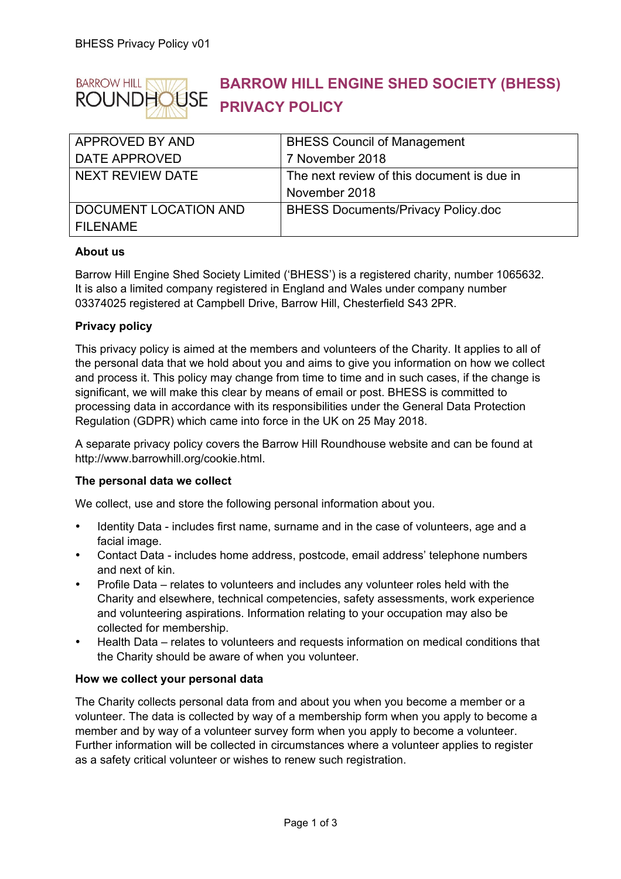

# **BARROW HILL ENGINE SHED SOCIETY (BHESS) PRIVACY POLICY**

| <b>APPROVED BY AND</b> | <b>BHESS Council of Management</b>         |
|------------------------|--------------------------------------------|
| DATE APPROVED          | 7 November 2018                            |
| NEXT REVIEW DATE       | The next review of this document is due in |
|                        | November 2018                              |
| DOCUMENT LOCATION AND  | <b>BHESS Documents/Privacy Policy.doc</b>  |
| <b>FILENAME</b>        |                                            |

## **About us**

Barrow Hill Engine Shed Society Limited ('BHESS') is a registered charity, number 1065632. It is also a limited company registered in England and Wales under company number 03374025 registered at Campbell Drive, Barrow Hill, Chesterfield S43 2PR.

## **Privacy policy**

This privacy policy is aimed at the members and volunteers of the Charity. It applies to all of the personal data that we hold about you and aims to give you information on how we collect and process it. This policy may change from time to time and in such cases, if the change is significant, we will make this clear by means of email or post. BHESS is committed to processing data in accordance with its responsibilities under the General Data Protection Regulation (GDPR) which came into force in the UK on 25 May 2018.

A separate privacy policy covers the Barrow Hill Roundhouse website and can be found at http://www.barrowhill.org/cookie.html.

#### **The personal data we collect**

We collect, use and store the following personal information about you.

- Identity Data includes first name, surname and in the case of volunteers, age and a facial image.
- Contact Data includes home address, postcode, email address' telephone numbers and next of kin.
- Profile Data relates to volunteers and includes any volunteer roles held with the Charity and elsewhere, technical competencies, safety assessments, work experience and volunteering aspirations. Information relating to your occupation may also be collected for membership.
- Health Data relates to volunteers and requests information on medical conditions that the Charity should be aware of when you volunteer.

#### **How we collect your personal data**

The Charity collects personal data from and about you when you become a member or a volunteer. The data is collected by way of a membership form when you apply to become a member and by way of a volunteer survey form when you apply to become a volunteer. Further information will be collected in circumstances where a volunteer applies to register as a safety critical volunteer or wishes to renew such registration.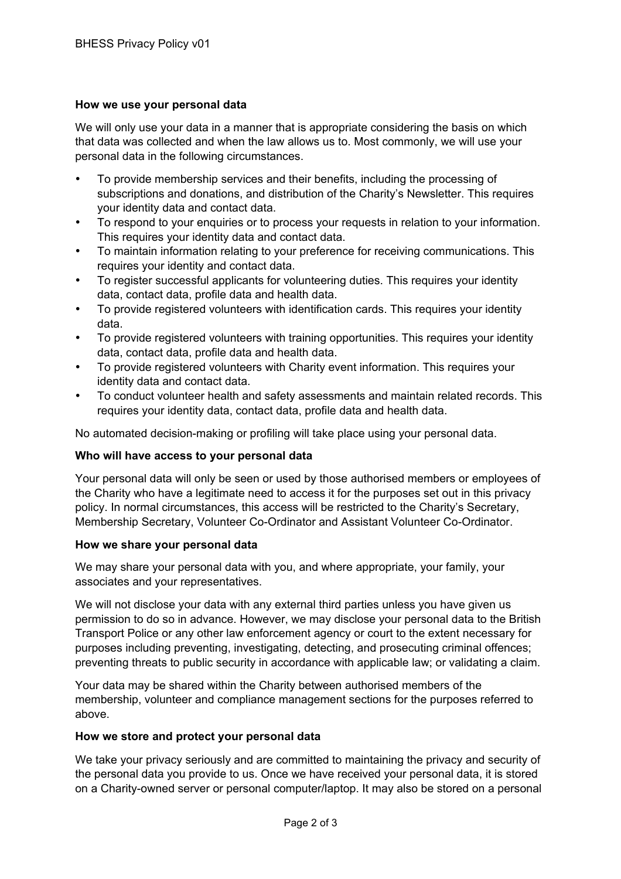## **How we use your personal data**

We will only use your data in a manner that is appropriate considering the basis on which that data was collected and when the law allows us to. Most commonly, we will use your personal data in the following circumstances.

- To provide membership services and their benefits, including the processing of subscriptions and donations, and distribution of the Charity's Newsletter. This requires your identity data and contact data.
- To respond to your enquiries or to process your requests in relation to your information. This requires your identity data and contact data.
- To maintain information relating to your preference for receiving communications. This requires your identity and contact data.
- To register successful applicants for volunteering duties. This requires your identity data, contact data, profile data and health data.
- To provide registered volunteers with identification cards. This requires your identity data.
- To provide registered volunteers with training opportunities. This requires your identity data, contact data, profile data and health data.
- To provide registered volunteers with Charity event information. This requires your identity data and contact data.
- To conduct volunteer health and safety assessments and maintain related records. This requires your identity data, contact data, profile data and health data.

No automated decision-making or profiling will take place using your personal data.

#### **Who will have access to your personal data**

Your personal data will only be seen or used by those authorised members or employees of the Charity who have a legitimate need to access it for the purposes set out in this privacy policy. In normal circumstances, this access will be restricted to the Charity's Secretary, Membership Secretary, Volunteer Co-Ordinator and Assistant Volunteer Co-Ordinator.

#### **How we share your personal data**

We may share your personal data with you, and where appropriate, your family, your associates and your representatives.

We will not disclose your data with any external third parties unless you have given us permission to do so in advance. However, we may disclose your personal data to the British Transport Police or any other law enforcement agency or court to the extent necessary for purposes including preventing, investigating, detecting, and prosecuting criminal offences; preventing threats to public security in accordance with applicable law; or validating a claim.

Your data may be shared within the Charity between authorised members of the membership, volunteer and compliance management sections for the purposes referred to above.

### **How we store and protect your personal data**

We take your privacy seriously and are committed to maintaining the privacy and security of the personal data you provide to us. Once we have received your personal data, it is stored on a Charity-owned server or personal computer/laptop. It may also be stored on a personal